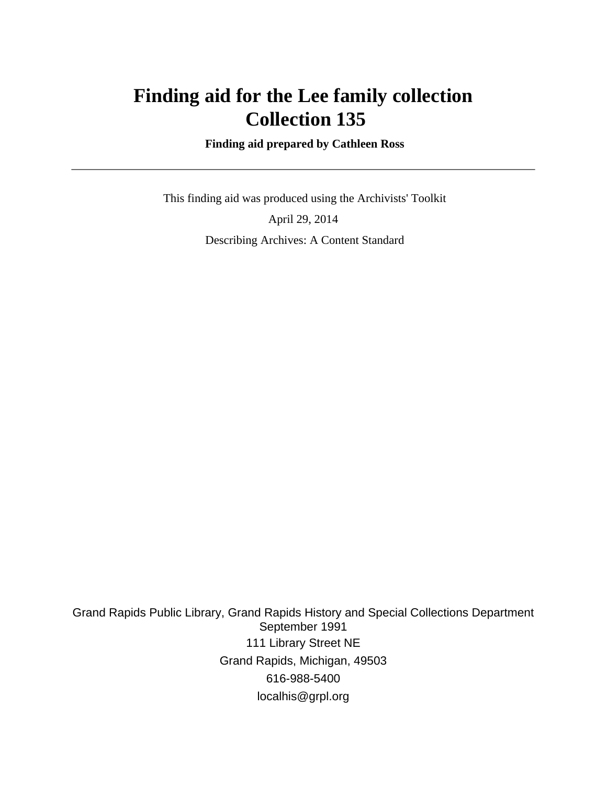# **Finding aid for the Lee family collection Collection 135**

 **Finding aid prepared by Cathleen Ross**

 This finding aid was produced using the Archivists' Toolkit April 29, 2014 Describing Archives: A Content Standard

Grand Rapids Public Library, Grand Rapids History and Special Collections Department September 1991 111 Library Street NE Grand Rapids, Michigan, 49503 616-988-5400 localhis@grpl.org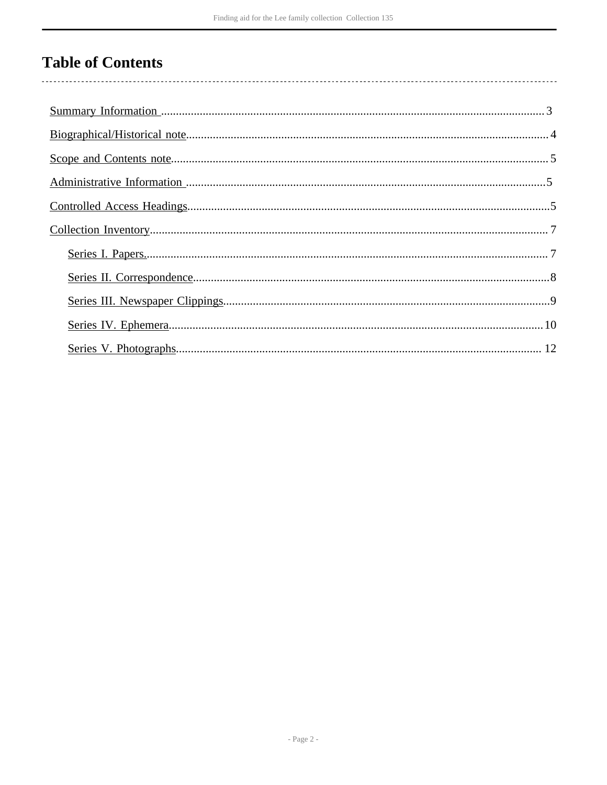# **Table of Contents**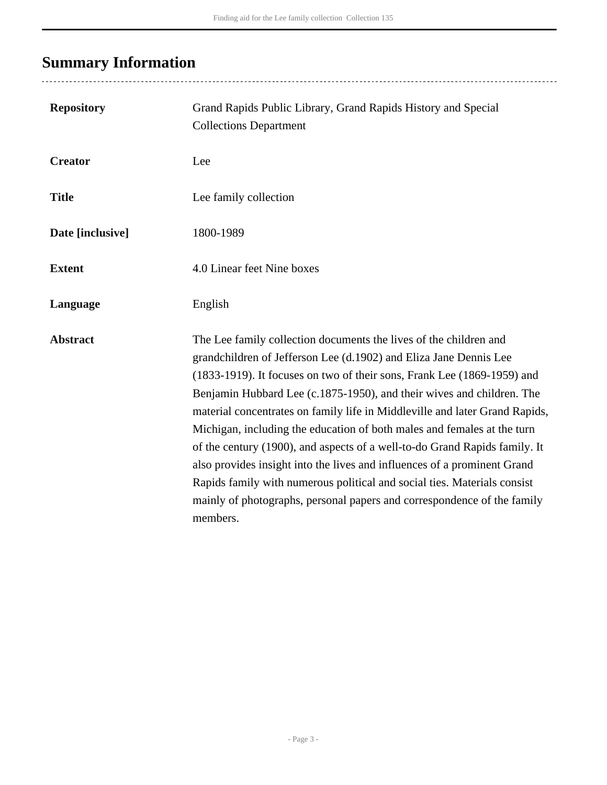# <span id="page-2-0"></span>**Summary Information**

| <b>Repository</b> | Grand Rapids Public Library, Grand Rapids History and Special<br><b>Collections Department</b>                                                                                                                                                                                                                                                                                                                                                                                                                                                                                                                                                                                                                                                                                    |
|-------------------|-----------------------------------------------------------------------------------------------------------------------------------------------------------------------------------------------------------------------------------------------------------------------------------------------------------------------------------------------------------------------------------------------------------------------------------------------------------------------------------------------------------------------------------------------------------------------------------------------------------------------------------------------------------------------------------------------------------------------------------------------------------------------------------|
| <b>Creator</b>    | Lee                                                                                                                                                                                                                                                                                                                                                                                                                                                                                                                                                                                                                                                                                                                                                                               |
| <b>Title</b>      | Lee family collection                                                                                                                                                                                                                                                                                                                                                                                                                                                                                                                                                                                                                                                                                                                                                             |
| Date [inclusive]  | 1800-1989                                                                                                                                                                                                                                                                                                                                                                                                                                                                                                                                                                                                                                                                                                                                                                         |
| <b>Extent</b>     | 4.0 Linear feet Nine boxes                                                                                                                                                                                                                                                                                                                                                                                                                                                                                                                                                                                                                                                                                                                                                        |
| Language          | English                                                                                                                                                                                                                                                                                                                                                                                                                                                                                                                                                                                                                                                                                                                                                                           |
| <b>Abstract</b>   | The Lee family collection documents the lives of the children and<br>grandchildren of Jefferson Lee (d.1902) and Eliza Jane Dennis Lee<br>(1833-1919). It focuses on two of their sons, Frank Lee (1869-1959) and<br>Benjamin Hubbard Lee (c.1875-1950), and their wives and children. The<br>material concentrates on family life in Middleville and later Grand Rapids,<br>Michigan, including the education of both males and females at the turn<br>of the century (1900), and aspects of a well-to-do Grand Rapids family. It<br>also provides insight into the lives and influences of a prominent Grand<br>Rapids family with numerous political and social ties. Materials consist<br>mainly of photographs, personal papers and correspondence of the family<br>members. |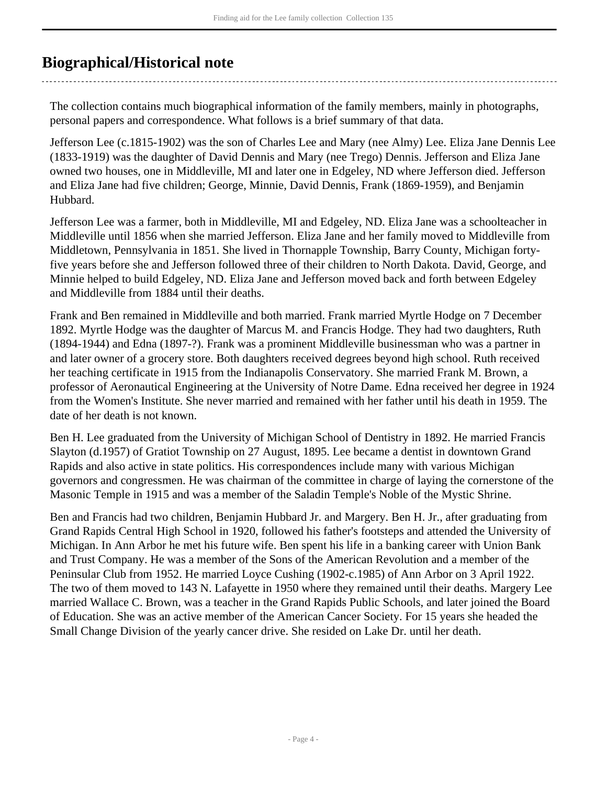# <span id="page-3-0"></span>**Biographical/Historical note**

The collection contains much biographical information of the family members, mainly in photographs, personal papers and correspondence. What follows is a brief summary of that data.

Jefferson Lee (c.1815-1902) was the son of Charles Lee and Mary (nee Almy) Lee. Eliza Jane Dennis Lee (1833-1919) was the daughter of David Dennis and Mary (nee Trego) Dennis. Jefferson and Eliza Jane owned two houses, one in Middleville, MI and later one in Edgeley, ND where Jefferson died. Jefferson and Eliza Jane had five children; George, Minnie, David Dennis, Frank (1869-1959), and Benjamin Hubbard.

Jefferson Lee was a farmer, both in Middleville, MI and Edgeley, ND. Eliza Jane was a schoolteacher in Middleville until 1856 when she married Jefferson. Eliza Jane and her family moved to Middleville from Middletown, Pennsylvania in 1851. She lived in Thornapple Township, Barry County, Michigan fortyfive years before she and Jefferson followed three of their children to North Dakota. David, George, and Minnie helped to build Edgeley, ND. Eliza Jane and Jefferson moved back and forth between Edgeley and Middleville from 1884 until their deaths.

Frank and Ben remained in Middleville and both married. Frank married Myrtle Hodge on 7 December 1892. Myrtle Hodge was the daughter of Marcus M. and Francis Hodge. They had two daughters, Ruth (1894-1944) and Edna (1897-?). Frank was a prominent Middleville businessman who was a partner in and later owner of a grocery store. Both daughters received degrees beyond high school. Ruth received her teaching certificate in 1915 from the Indianapolis Conservatory. She married Frank M. Brown, a professor of Aeronautical Engineering at the University of Notre Dame. Edna received her degree in 1924 from the Women's Institute. She never married and remained with her father until his death in 1959. The date of her death is not known.

Ben H. Lee graduated from the University of Michigan School of Dentistry in 1892. He married Francis Slayton (d.1957) of Gratiot Township on 27 August, 1895. Lee became a dentist in downtown Grand Rapids and also active in state politics. His correspondences include many with various Michigan governors and congressmen. He was chairman of the committee in charge of laying the cornerstone of the Masonic Temple in 1915 and was a member of the Saladin Temple's Noble of the Mystic Shrine.

Ben and Francis had two children, Benjamin Hubbard Jr. and Margery. Ben H. Jr., after graduating from Grand Rapids Central High School in 1920, followed his father's footsteps and attended the University of Michigan. In Ann Arbor he met his future wife. Ben spent his life in a banking career with Union Bank and Trust Company. He was a member of the Sons of the American Revolution and a member of the Peninsular Club from 1952. He married Loyce Cushing (1902-c.1985) of Ann Arbor on 3 April 1922. The two of them moved to 143 N. Lafayette in 1950 where they remained until their deaths. Margery Lee married Wallace C. Brown, was a teacher in the Grand Rapids Public Schools, and later joined the Board of Education. She was an active member of the American Cancer Society. For 15 years she headed the Small Change Division of the yearly cancer drive. She resided on Lake Dr. until her death.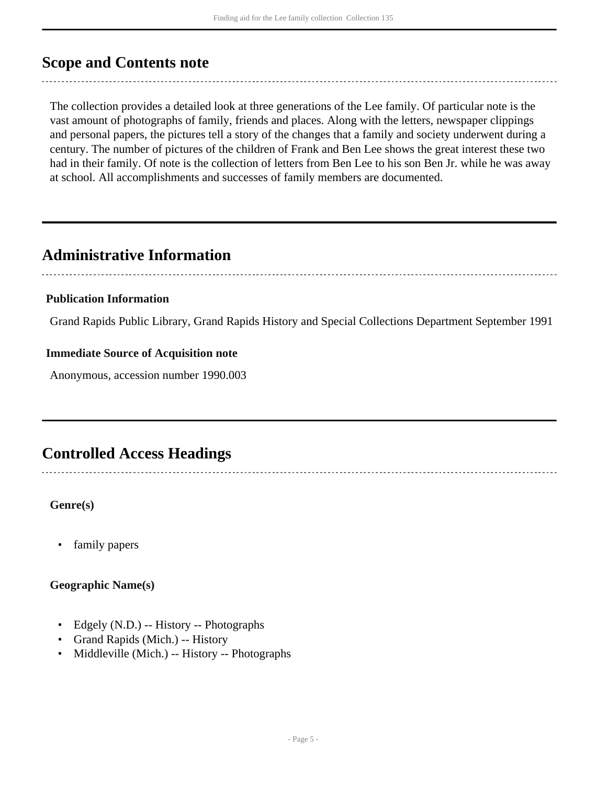### <span id="page-4-0"></span>**Scope and Contents note**

The collection provides a detailed look at three generations of the Lee family. Of particular note is the vast amount of photographs of family, friends and places. Along with the letters, newspaper clippings and personal papers, the pictures tell a story of the changes that a family and society underwent during a century. The number of pictures of the children of Frank and Ben Lee shows the great interest these two had in their family. Of note is the collection of letters from Ben Lee to his son Ben Jr. while he was away at school. All accomplishments and successes of family members are documented.

### <span id="page-4-1"></span>**Administrative Information**

### **Publication Information**

Grand Rapids Public Library, Grand Rapids History and Special Collections Department September 1991

#### **Immediate Source of Acquisition note**

Anonymous, accession number 1990.003

# <span id="page-4-2"></span>**Controlled Access Headings**

#### **Genre(s)**

• family papers

#### **Geographic Name(s)**

- Edgely (N.D.) -- History -- Photographs
- Grand Rapids (Mich.) -- History
- Middleville (Mich.) -- History -- Photographs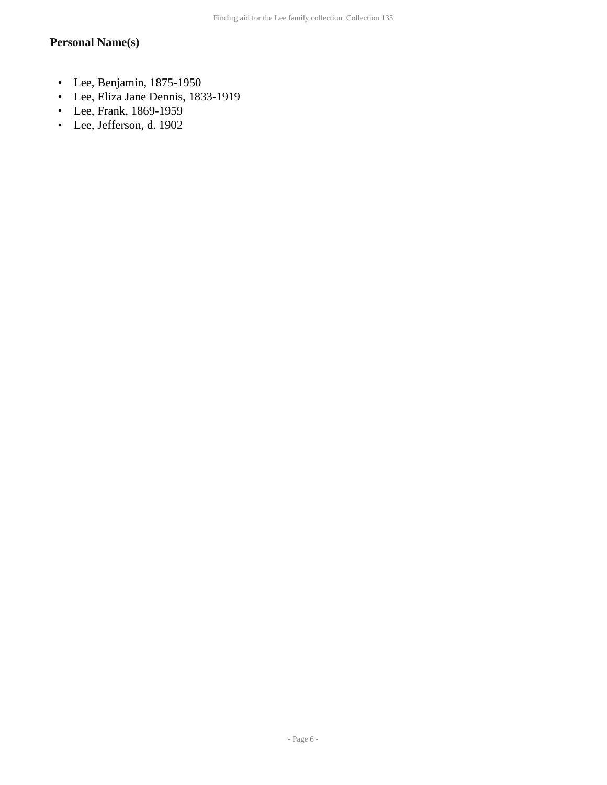### **Personal Name(s)**

- Lee, Benjamin, 1875-1950
- Lee, Eliza Jane Dennis, 1833-1919
- Lee, Frank, 1869-1959
- Lee, Jefferson, d. 1902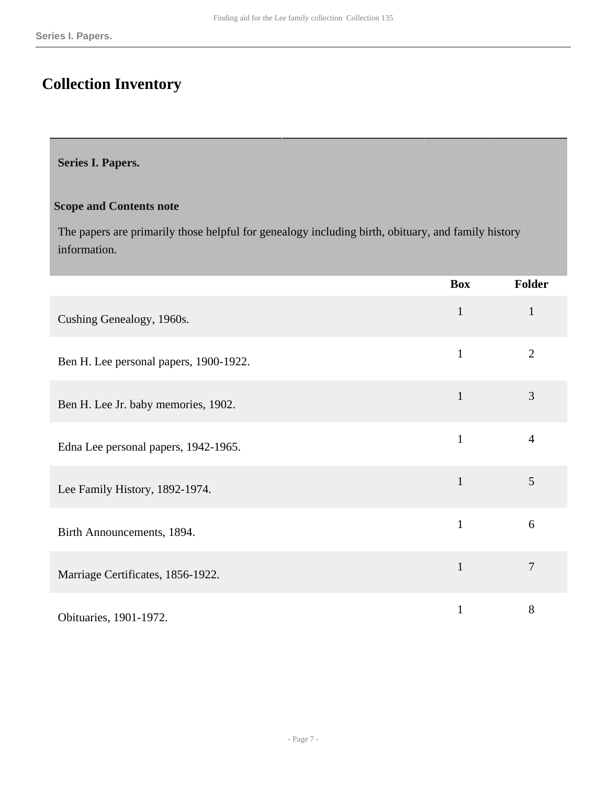# <span id="page-6-0"></span>**Collection Inventory**

#### <span id="page-6-1"></span>**Series I. Papers.**

#### **Scope and Contents note**

The papers are primarily those helpful for genealogy including birth, obituary, and family history information.

|                                        | <b>Box</b>   | Folder         |
|----------------------------------------|--------------|----------------|
| Cushing Genealogy, 1960s.              | $\mathbf{1}$ | $\mathbf{1}$   |
| Ben H. Lee personal papers, 1900-1922. | $\mathbf{1}$ | $\overline{2}$ |
| Ben H. Lee Jr. baby memories, 1902.    | $\mathbf{1}$ | 3              |
| Edna Lee personal papers, 1942-1965.   | $\mathbf{1}$ | $\overline{4}$ |
| Lee Family History, 1892-1974.         | $\mathbf{1}$ | 5              |
| Birth Announcements, 1894.             | $\mathbf{1}$ | 6              |
| Marriage Certificates, 1856-1922.      | $\mathbf{1}$ | 7              |
| Obituaries, 1901-1972.                 | $\mathbf{1}$ | 8              |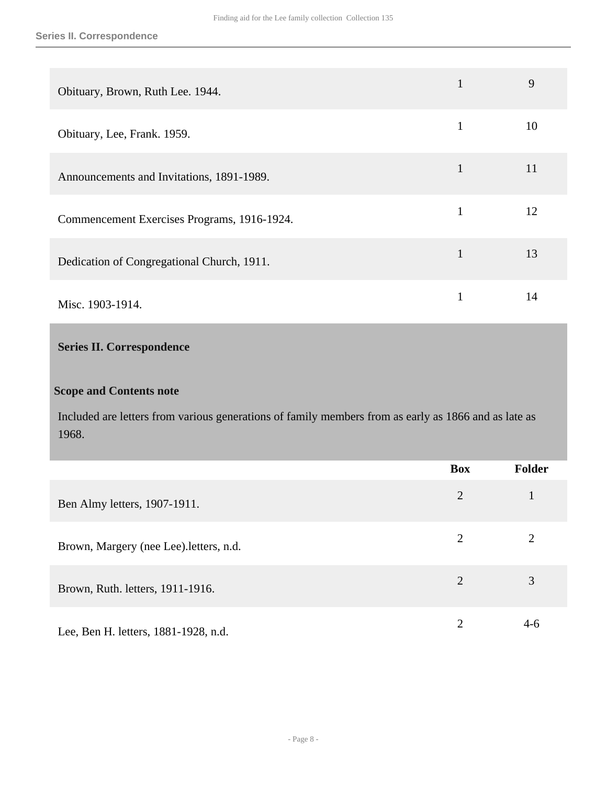| Obituary, Brown, Ruth Lee. 1944.            |              | 9  |
|---------------------------------------------|--------------|----|
| Obituary, Lee, Frank. 1959.                 | 1            | 10 |
| Announcements and Invitations, 1891-1989.   | $\mathbf 1$  | 11 |
| Commencement Exercises Programs, 1916-1924. | $\mathbf{1}$ | 12 |
| Dedication of Congregational Church, 1911.  | 1            | 13 |
| Misc. 1903-1914.                            |              | 14 |

#### <span id="page-7-0"></span>**Series II. Correspondence**

#### **Scope and Contents note**

Included are letters from various generations of family members from as early as 1866 and as late as 1968.

|                                         | <b>Box</b>     | <b>Folder</b> |
|-----------------------------------------|----------------|---------------|
| Ben Almy letters, 1907-1911.            | $\overline{2}$ |               |
| Brown, Margery (nee Lee). letters, n.d. | 2              | 2             |
| Brown, Ruth. letters, 1911-1916.        | 2              | 3             |
| Lee, Ben H. letters, 1881-1928, n.d.    | $\overline{2}$ | $4-6$         |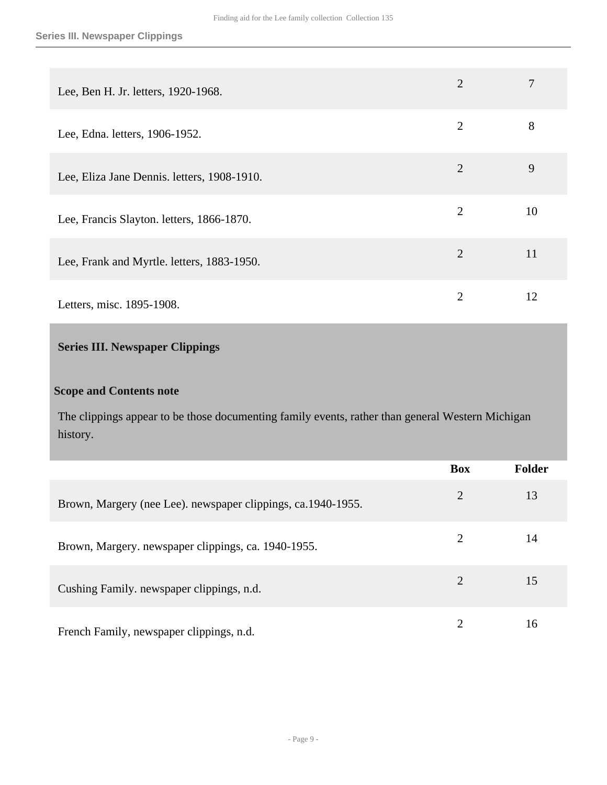| Lee, Ben H. Jr. letters, 1920-1968.         | $\overline{2}$ |    |
|---------------------------------------------|----------------|----|
| Lee, Edna. letters, 1906-1952.              | $\overline{2}$ | 8  |
| Lee, Eliza Jane Dennis. letters, 1908-1910. | $\overline{2}$ | 9  |
| Lee, Francis Slayton. letters, 1866-1870.   | $\overline{2}$ | 10 |
| Lee, Frank and Myrtle. letters, 1883-1950.  | $\overline{2}$ | 11 |
| Letters, misc. 1895-1908.                   | 2              | 12 |

### <span id="page-8-0"></span>**Series III. Newspaper Clippings**

#### **Scope and Contents note**

The clippings appear to be those documenting family events, rather than general Western Michigan history.

|                                                              | <b>Box</b>                  | <b>Folder</b> |
|--------------------------------------------------------------|-----------------------------|---------------|
| Brown, Margery (nee Lee). newspaper clippings, ca.1940-1955. | $\overline{2}$              | 13            |
| Brown, Margery. newspaper clippings, ca. 1940-1955.          | $\mathcal{D}_{\cdot}$       | 14            |
| Cushing Family. newspaper clippings, n.d.                    | 2                           | 15            |
| French Family, newspaper clippings, n.d.                     | $\mathcal{D}_{\mathcal{A}}$ | 16            |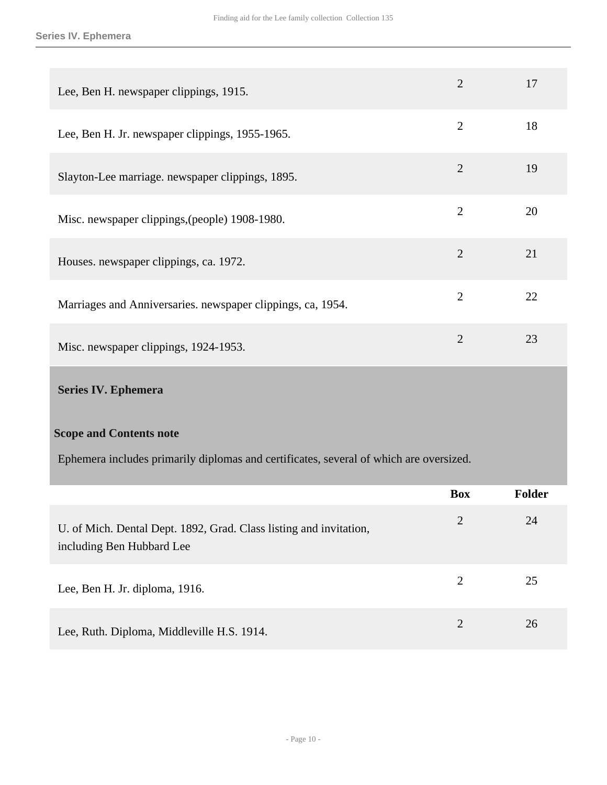| Lee, Ben H. newspaper clippings, 1915.                      | 2              | 17 |
|-------------------------------------------------------------|----------------|----|
| Lee, Ben H. Jr. newspaper clippings, 1955-1965.             | $\overline{2}$ | 18 |
| Slayton-Lee marriage. newspaper clippings, 1895.            | $\overline{2}$ | 19 |
| Misc. newspaper clippings, (people) 1908-1980.              | $\overline{2}$ | 20 |
| Houses. newspaper clippings, ca. 1972.                      | $\overline{2}$ | 21 |
| Marriages and Anniversaries. newspaper clippings, ca, 1954. | $\overline{2}$ | 22 |
| Misc. newspaper clippings, 1924-1953.                       | $\overline{2}$ | 23 |
| <b>Series IV. Ephemera</b>                                  |                |    |

#### <span id="page-9-0"></span>**Scope and Contents note**

Ephemera includes primarily diplomas and certificates, several of which are oversized.

|                                                                                                 | <b>Box</b>            | <b>Folder</b> |
|-------------------------------------------------------------------------------------------------|-----------------------|---------------|
| U. of Mich. Dental Dept. 1892, Grad. Class listing and invitation,<br>including Ben Hubbard Lee | 2                     | 24            |
| Lee, Ben H. Jr. diploma, 1916.                                                                  | 2                     | 25            |
| Lee, Ruth. Diploma, Middleville H.S. 1914.                                                      | $\mathcal{D}_{\cdot}$ | 26            |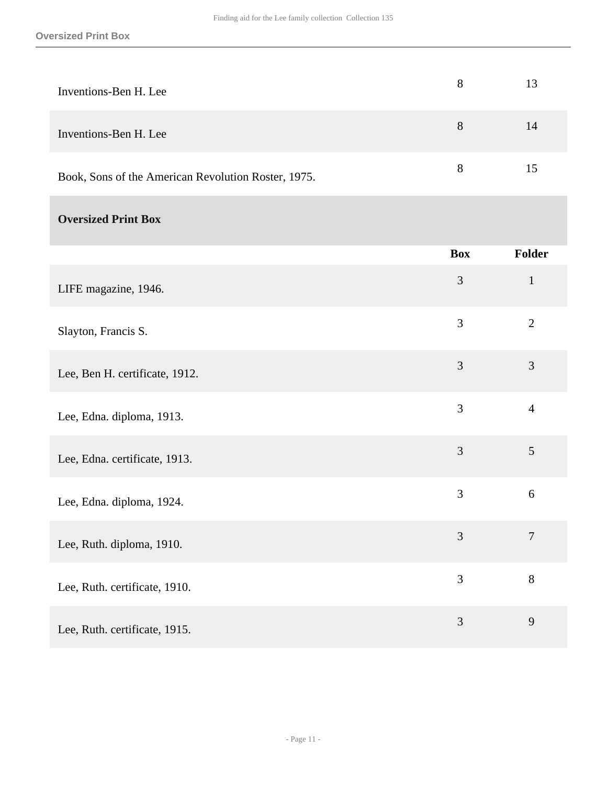| Inventions-Ben H. Lee                               | 8              | 13             |
|-----------------------------------------------------|----------------|----------------|
| Inventions-Ben H. Lee                               | $8\,$          | 14             |
| Book, Sons of the American Revolution Roster, 1975. | $8\,$          | 15             |
| <b>Oversized Print Box</b>                          |                |                |
|                                                     | <b>Box</b>     | Folder         |
| LIFE magazine, 1946.                                | $\mathfrak{Z}$ | $\mathbf 1$    |
| Slayton, Francis S.                                 | 3              | $\overline{2}$ |
| Lee, Ben H. certificate, 1912.                      | $\overline{3}$ | 3              |
| Lee, Edna. diploma, 1913.                           | 3              | $\overline{4}$ |
| Lee, Edna. certificate, 1913.                       | 3              | 5              |
| Lee, Edna. diploma, 1924.                           | 3              | $\sqrt{6}$     |
| Lee, Ruth. diploma, 1910.                           | 3              | $\tau$         |
| Lee, Ruth. certificate, 1910.                       | 3              | $8\,$          |
| Lee, Ruth. certificate, 1915.                       | $\overline{3}$ | $\overline{9}$ |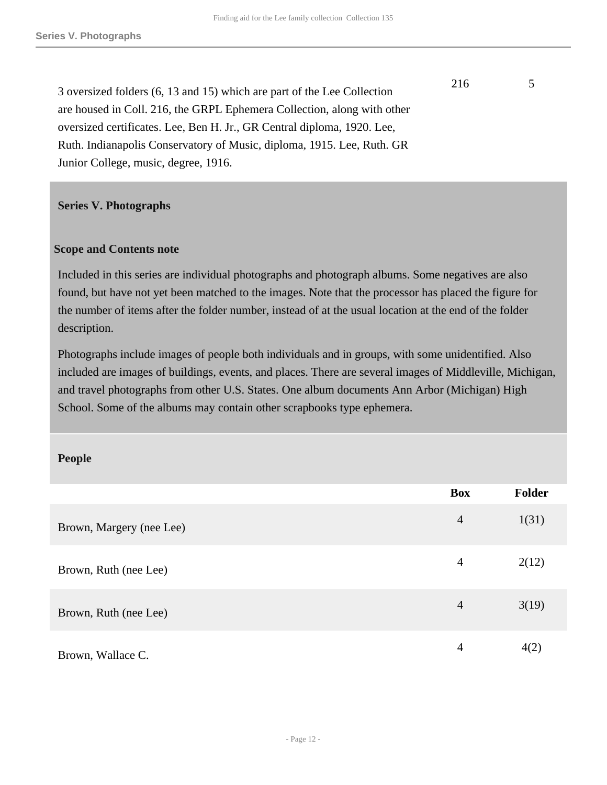3 oversized folders (6, 13 and 15) which are part of the Lee Collection are housed in Coll. 216, the GRPL Ephemera Collection, along with other oversized certificates. Lee, Ben H. Jr., GR Central diploma, 1920. Lee, Ruth. Indianapolis Conservatory of Music, diploma, 1915. Lee, Ruth. GR Junior College, music, degree, 1916.

#### <span id="page-11-0"></span>**Series V. Photographs**

#### **Scope and Contents note**

Included in this series are individual photographs and photograph albums. Some negatives are also found, but have not yet been matched to the images. Note that the processor has placed the figure for the number of items after the folder number, instead of at the usual location at the end of the folder description.

Photographs include images of people both individuals and in groups, with some unidentified. Also included are images of buildings, events, and places. There are several images of Middleville, Michigan, and travel photographs from other U.S. States. One album documents Ann Arbor (Michigan) High School. Some of the albums may contain other scrapbooks type ephemera.

#### **People**

|                          | <b>Box</b>     | <b>Folder</b> |
|--------------------------|----------------|---------------|
| Brown, Margery (nee Lee) | $\overline{4}$ | 1(31)         |
| Brown, Ruth (nee Lee)    | $\overline{4}$ | 2(12)         |
| Brown, Ruth (nee Lee)    | $\overline{4}$ | 3(19)         |
| Brown, Wallace C.        | 4              | 4(2)          |

216 5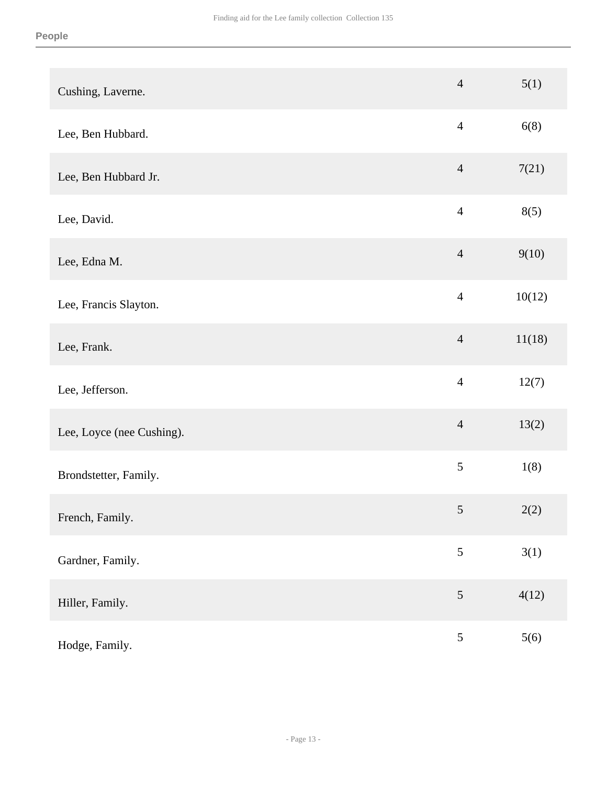| Cushing, Laverne.         | $\overline{4}$  | 5(1)   |
|---------------------------|-----------------|--------|
| Lee, Ben Hubbard.         | $\overline{4}$  | 6(8)   |
| Lee, Ben Hubbard Jr.      | $\overline{4}$  | 7(21)  |
| Lee, David.               | $\overline{4}$  | 8(5)   |
| Lee, Edna M.              | $\overline{4}$  | 9(10)  |
| Lee, Francis Slayton.     | $\overline{4}$  | 10(12) |
| Lee, Frank.               | $\overline{4}$  | 11(18) |
| Lee, Jefferson.           | $\overline{4}$  | 12(7)  |
| Lee, Loyce (nee Cushing). | $\overline{4}$  | 13(2)  |
| Brondstetter, Family.     | 5               | 1(8)   |
| French, Family.           | $5\overline{)}$ | 2(2)   |
| Gardner, Family.          | 5               | 3(1)   |
| Hiller, Family.           | 5               | 4(12)  |
| Hodge, Family.            | $\mathfrak{S}$  | 5(6)   |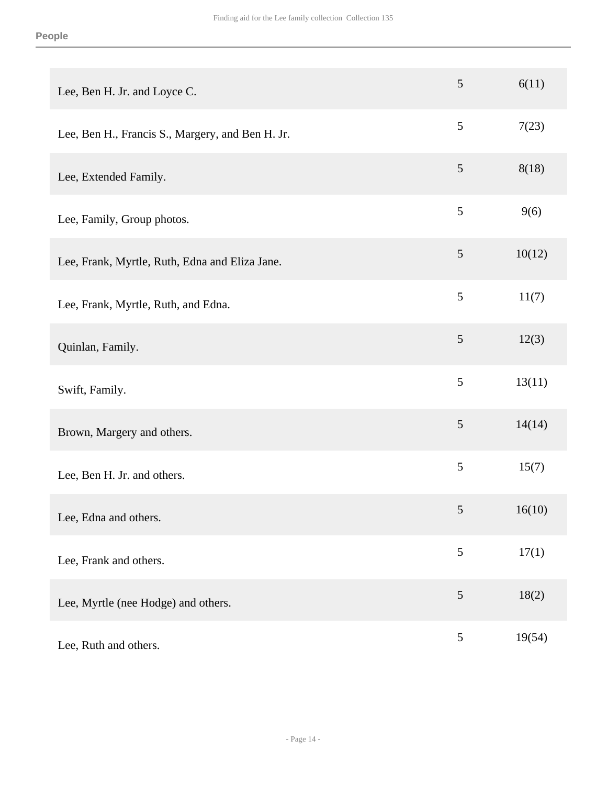| Lee, Ben H. Jr. and Loyce C.                     | 5              | 6(11)  |
|--------------------------------------------------|----------------|--------|
| Lee, Ben H., Francis S., Margery, and Ben H. Jr. | $\mathfrak{S}$ | 7(23)  |
| Lee, Extended Family.                            | 5              | 8(18)  |
| Lee, Family, Group photos.                       | $\mathfrak{S}$ | 9(6)   |
| Lee, Frank, Myrtle, Ruth, Edna and Eliza Jane.   | $\mathfrak{S}$ | 10(12) |
| Lee, Frank, Myrtle, Ruth, and Edna.              | $\mathfrak{S}$ | 11(7)  |
| Quinlan, Family.                                 | $\mathfrak{S}$ | 12(3)  |
| Swift, Family.                                   | 5              | 13(11) |
| Brown, Margery and others.                       | $\mathfrak{S}$ | 14(14) |
| Lee, Ben H. Jr. and others.                      | 5              | 15(7)  |
| Lee, Edna and others.                            | $\mathfrak{S}$ | 16(10) |
| Lee, Frank and others.                           | $\mathfrak{S}$ | 17(1)  |
| Lee, Myrtle (nee Hodge) and others.              | $\mathfrak{S}$ | 18(2)  |
| Lee, Ruth and others.                            | 5              | 19(54) |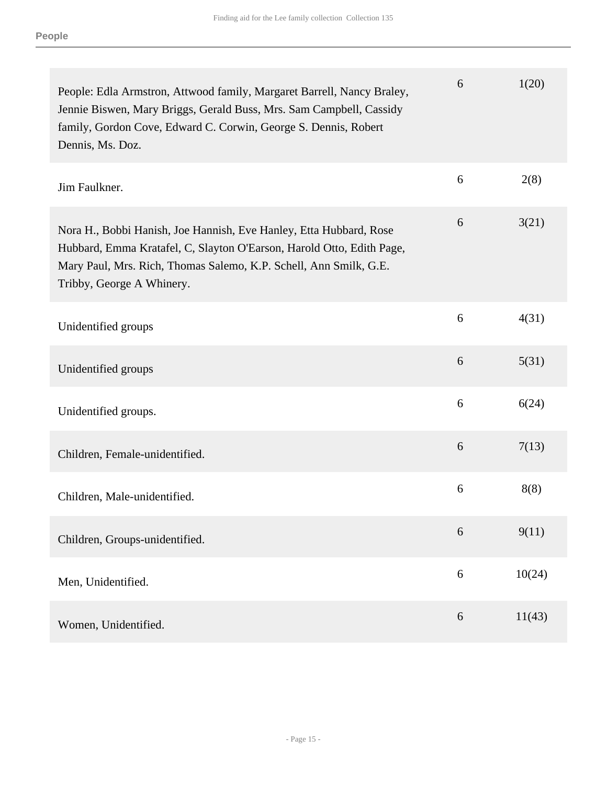| People: Edla Armstron, Attwood family, Margaret Barrell, Nancy Braley,<br>Jennie Biswen, Mary Briggs, Gerald Buss, Mrs. Sam Campbell, Cassidy<br>family, Gordon Cove, Edward C. Corwin, George S. Dennis, Robert<br>Dennis, Ms. Doz.          | 6 | 1(20)  |
|-----------------------------------------------------------------------------------------------------------------------------------------------------------------------------------------------------------------------------------------------|---|--------|
| Jim Faulkner.                                                                                                                                                                                                                                 | 6 | 2(8)   |
| Nora H., Bobbi Hanish, Joe Hannish, Eve Hanley, Etta Hubbard, Rose<br>Hubbard, Emma Kratafel, C, Slayton O'Earson, Harold Otto, Edith Page,<br>Mary Paul, Mrs. Rich, Thomas Salemo, K.P. Schell, Ann Smilk, G.E.<br>Tribby, George A Whinery. | 6 | 3(21)  |
| Unidentified groups                                                                                                                                                                                                                           | 6 | 4(31)  |
| Unidentified groups                                                                                                                                                                                                                           | 6 | 5(31)  |
| Unidentified groups.                                                                                                                                                                                                                          | 6 | 6(24)  |
| Children, Female-unidentified.                                                                                                                                                                                                                | 6 | 7(13)  |
| Children, Male-unidentified.                                                                                                                                                                                                                  | 6 | 8(8)   |
| Children, Groups-unidentified.                                                                                                                                                                                                                | 6 | 9(11)  |
| Men, Unidentified.                                                                                                                                                                                                                            | 6 | 10(24) |
| Women, Unidentified.                                                                                                                                                                                                                          | 6 | 11(43) |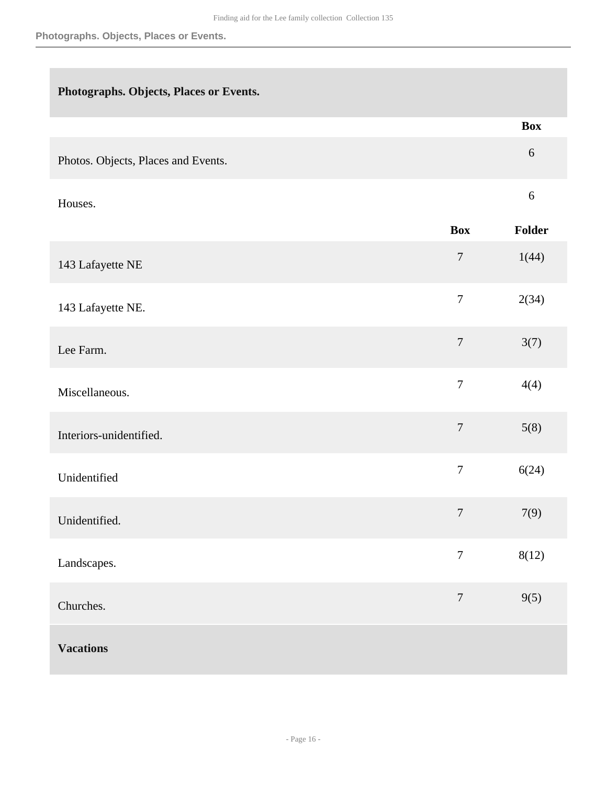| Photographs. Objects, Places or Events. |  |  |
|-----------------------------------------|--|--|
|                                         |  |  |

|                                     |                  | <b>Box</b> |
|-------------------------------------|------------------|------------|
| Photos. Objects, Places and Events. |                  | $\sqrt{6}$ |
| Houses.                             |                  | $\sqrt{6}$ |
|                                     | <b>Box</b>       | Folder     |
| 143 Lafayette NE                    | $\boldsymbol{7}$ | 1(44)      |
| 143 Lafayette NE.                   | $\boldsymbol{7}$ | 2(34)      |
| Lee Farm.                           | $\boldsymbol{7}$ | 3(7)       |
| Miscellaneous.                      | $\boldsymbol{7}$ | 4(4)       |
| Interiors-unidentified.             | $\boldsymbol{7}$ | 5(8)       |
| Unidentified                        | $\boldsymbol{7}$ | 6(24)      |
| Unidentified.                       | $\boldsymbol{7}$ | 7(9)       |
| Landscapes.                         | $\overline{7}$   | 8(12)      |
| Churches.                           | $\boldsymbol{7}$ | 9(5)       |
| <b>Vacations</b>                    |                  |            |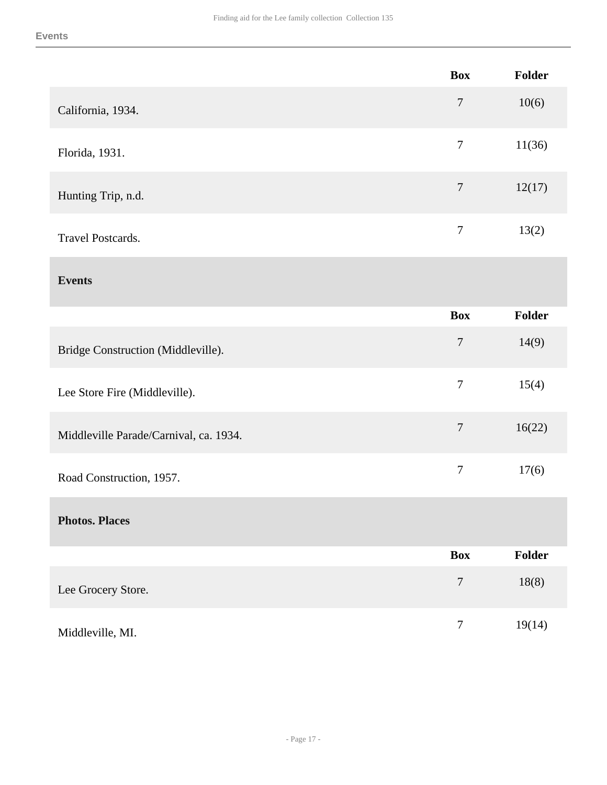|                                        | <b>Box</b>       | <b>Folder</b> |
|----------------------------------------|------------------|---------------|
| California, 1934.                      | $\overline{7}$   | 10(6)         |
| Florida, 1931.                         | $\overline{7}$   | 11(36)        |
| Hunting Trip, n.d.                     | $\tau$           | 12(17)        |
| <b>Travel Postcards.</b>               | $\tau$           | 13(2)         |
| <b>Events</b>                          |                  |               |
|                                        | <b>Box</b>       | <b>Folder</b> |
| Bridge Construction (Middleville).     | $\tau$           | 14(9)         |
| Lee Store Fire (Middleville).          | $\boldsymbol{7}$ | 15(4)         |
| Middleville Parade/Carnival, ca. 1934. | $\overline{7}$   | 16(22)        |
| Road Construction, 1957.               | $\boldsymbol{7}$ | 17(6)         |
| <b>Photos. Places</b>                  |                  |               |
|                                        | <b>Box</b>       | Folder        |
| Lee Grocery Store.                     | $\boldsymbol{7}$ | 18(8)         |
| Middleville, MI.                       | $\boldsymbol{7}$ | 19(14)        |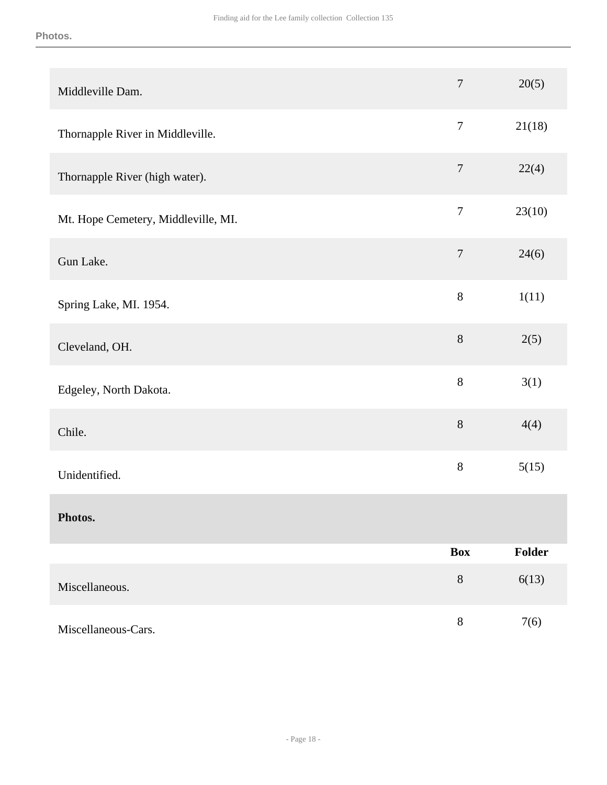| Middleville Dam.                    | $\boldsymbol{7}$ | 20(5)  |
|-------------------------------------|------------------|--------|
| Thornapple River in Middleville.    | $\tau$           | 21(18) |
| Thornapple River (high water).      | $\overline{7}$   | 22(4)  |
| Mt. Hope Cemetery, Middleville, MI. | $\overline{7}$   | 23(10) |
| Gun Lake.                           | $\boldsymbol{7}$ | 24(6)  |
| Spring Lake, MI. 1954.              | $8\,$            | 1(11)  |
| Cleveland, OH.                      | $8\,$            | 2(5)   |
| Edgeley, North Dakota.              | $8\,$            | 3(1)   |
| Chile.                              | $8\,$            | 4(4)   |
| Unidentified.                       | $8\,$            | 5(15)  |
| Photos.                             |                  |        |
|                                     | <b>Box</b>       | Folder |
| Miscellaneous.                      | $8\,$            | 6(13)  |
| Miscellaneous-Cars.                 | $8\,$            | 7(6)   |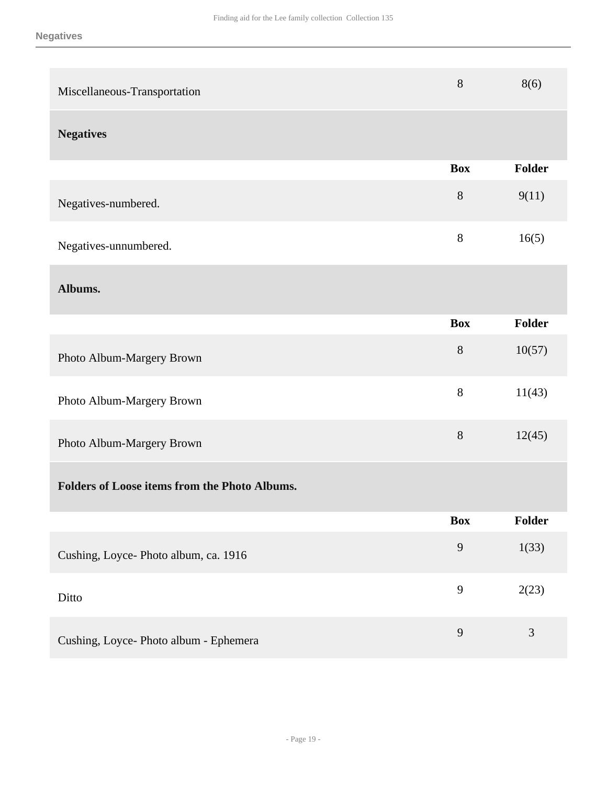| Miscellaneous-Transportation                         | 8          | 8(6)           |
|------------------------------------------------------|------------|----------------|
| <b>Negatives</b>                                     |            |                |
|                                                      | <b>Box</b> | <b>Folder</b>  |
| Negatives-numbered.                                  | 8          | 9(11)          |
| Negatives-unnumbered.                                | $8\,$      | 16(5)          |
| Albums.                                              |            |                |
|                                                      | <b>Box</b> | <b>Folder</b>  |
| Photo Album-Margery Brown                            | 8          | 10(57)         |
| Photo Album-Margery Brown                            | $8\,$      | 11(43)         |
| Photo Album-Margery Brown                            | 8          | 12(45)         |
| <b>Folders of Loose items from the Photo Albums.</b> |            |                |
|                                                      | <b>Box</b> | Folder         |
| Cushing, Loyce- Photo album, ca. 1916                | 9          | 1(33)          |
| Ditto                                                | 9          | 2(23)          |
| Cushing, Loyce- Photo album - Ephemera               | 9          | $\mathfrak{Z}$ |